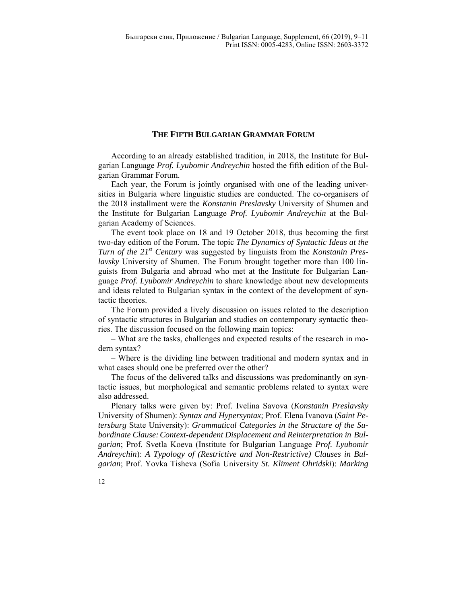## **THE FIFTH BULGARIAN GRAMMAR FORUM**

According to an already established tradition, in 2018, the Institute for Bulgarian Language *Prof. Lyubomir Andreychin* hosted the fifth edition of the Bulgarian Grammar Forum.

Each year, the Forum is jointly organised with one of the leading universities in Bulgaria where linguistic studies are conducted. The co-organisers of the 2018 installment were the *Konstanin Preslavsky* University of Shumen and the Institute for Bulgarian Language *Prof. Lyubomir Andreychin* at the Bulgarian Academy of Sciences.

The event took place on 18 and 19 October 2018, thus becoming the first two-day edition of the Forum. The topic *The Dynamics of Syntactic Ideas at the Turn of the 21st Century* was suggested by linguists from the *Konstanin Preslavsky* University of Shumen. The Forum brought together more than 100 linguists from Bulgaria and abroad who met at the Institute for Bulgarian Language *Prof. Lyubomir Andreychin* to share knowledge about new developments and ideas related to Bulgarian syntax in the context of the development of syntactic theories.

The Forum provided a lively discussion on issues related to the description of syntactic structures in Bulgarian and studies on contemporary syntactic theories. The discussion focused on the following main topics:

– What are the tasks, challenges and expected results of the research in modern syntax?

– Where is the dividing line between traditional and modern syntax and in what cases should one be preferred over the other?

The focus of the delivered talks and discussions was predominantly on syntactic issues, but morphological and semantic problems related to syntax were also addressed.

Plenary talks were given by: Prof. Ivelina Savova (*Konstanin Preslavsky* University of Shumen): *Syntax and Hypersyntax*; Prof. Elena Ivanova (*Saint Petersburg* State University): *Grammatical Categories in the Structure of the Subordinate Clause: Context-dependent Displacement and Reinterpretation in Bulgarian*; Prof. Svetla Koeva (Institute for Bulgarian Language *Prof. Lyubomir Andreychin*): *A Typology of (Restrictive and Non-Restrictive) Clauses in Bulgarian*; Prof. Yovka Tisheva (Sofia University *St. Kliment Ohridski*): *Marking* 

12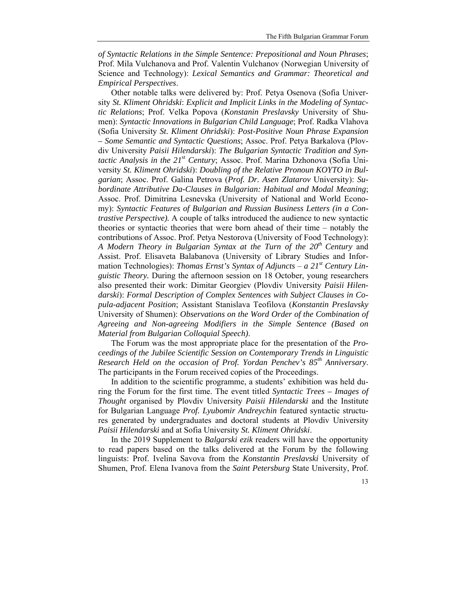*of Syntactic Relations in the Simple Sentence: Prepositional and Noun Phrases*; Prof. Mila Vulchanova and Prof. Valentin Vulchanov (Norwegian University of Science and Technology): *Lexical Semantics and Grammar: Theoretical and Empirical Perspectives*.

Other notable talks were delivered by: Prof. Petya Osenova (Sofia University *St. Kliment Ohridski*: *Explicit and Implicit Links in the Modeling of Syntactic Relations*; Prof. Velka Popova (*Konstanin Preslavsky* University of Shumen): *Syntactic Innovations in Bulgarian Child Language*; Prof. Radka Vlahova (Sofia University *St. Kliment Ohridski*): *Post-Positive Noun Phrase Expansion – Some Semantic and Syntactic Questions*; Assoc. Prof. Petya Barkalova (Plovdiv University *Paisii Hilendarski*): *The Bulgarian Syntactic Tradition and Syntactic Analysis in the 21st Century*; Assoc. Prof. Marina Dzhonova (Sofia University *St. Kliment Ohridski*): *Doubling of the Relative Pronoun KOYTO in Bulgarian*; Assoc. Prof. Galina Petrova (*Prof. Dr. Asen Zlatarov* University): *Subordinate Attributive Da-Clauses in Bulgarian: Habitual and Modal Meaning*; Assoc. Prof. Dimitrina Lesnevska (University of National and World Economy): *Syntactic Features of Bulgarian and Russian Business Letters (in a Contrastive Perspective).* A couple of talks introduced the audience to new syntactic theories or syntactic theories that were born ahead of their time – notably the contributions of Assoc. Prof. Petya Nestorova (University of Food Technology): *A Modern Theory in Bulgarian Syntax at the Turn of the 20th Century* and Assist. Prof. Elisaveta Balabanova (University of Library Studies and Information Technologies): *Thomas Ernst's Syntax of Adjuncts* – *a 21st Century Linguistic Theory.* During the afternoon session on 18 October, young researchers also presented their work: Dimitar Georgiev (Plovdiv University *Paisii Hilendarski*): *Formal Description of Complex Sentences with Subject Clauses in Copula-adjacent Position*; Assistant Stanislava Teofilova (*Konstantin Preslavsky* University of Shumen): *Observations on the Word Order of the Combination of Agreeing and Non-agreeing Modifiers in the Simple Sentence (Based on Material from Bulgarian Colloquial Speech)*.

The Forum was the most appropriate place for the presentation of the *Proceedings of the Jubilee Scientific Session on Contemporary Trends in Linguistic Research Held on the occasion of Prof. Yordan Penchev's 85th Anniversary*. The participants in the Forum received copies of the Proceedings.

In addition to the scientific programme, a students' exhibition was held during the Forum for the first time. The event titled *Syntactic Trees – Images of Thought* organised by Plovdiv University *Paisii Hilendarski* and the Institute for Bulgarian Language *Prof. Lyubomir Andreychin* featured syntactic structures generated by undergraduates and doctoral students at Plovdiv University *Paisii Hilendarski* and at Sofia University *St. Kliment Ohridski*.

In the 2019 Supplement to *Balgarski ezik* readers will have the opportunity to read papers based on the talks delivered at the Forum by the following linguists: Prof. Ivelina Savova from the *Konstantin Preslavski* University of Shumen, Prof. Elena Ivanova from the *Saint Petersburg* State University, Prof.

## 13